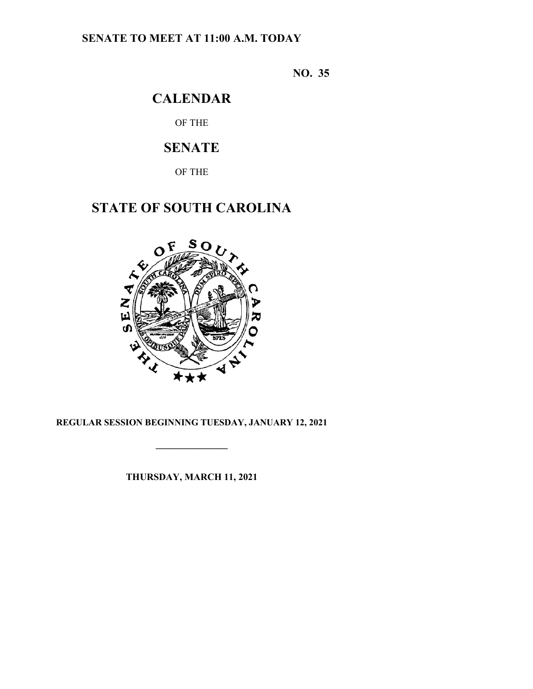## **SENATE TO MEET AT 11:00 A.M. TODAY**

**NO. 35**

## **CALENDAR**

OF THE

## **SENATE**

OF THE

# **STATE OF SOUTH CAROLINA**



### **REGULAR SESSION BEGINNING TUESDAY, JANUARY 12, 2021**

**\_\_\_\_\_\_\_\_\_\_\_\_\_\_\_**

**THURSDAY, MARCH 11, 2021**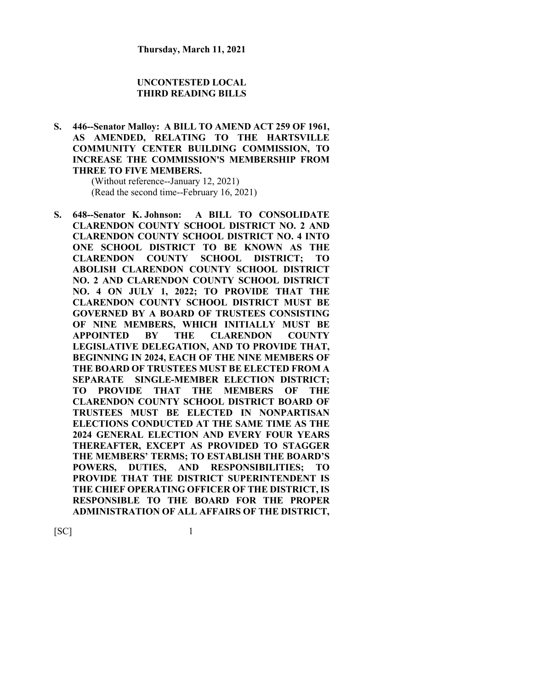#### **UNCONTESTED LOCAL THIRD READING BILLS**

**S. 446--Senator Malloy: A BILL TO AMEND ACT 259 OF 1961, AS AMENDED, RELATING TO THE HARTSVILLE COMMUNITY CENTER BUILDING COMMISSION, TO INCREASE THE COMMISSION'S MEMBERSHIP FROM THREE TO FIVE MEMBERS.**

> (Without reference--January 12, 2021) (Read the second time--February 16, 2021)

**S. 648--Senator K. Johnson: A BILL TO CONSOLIDATE CLARENDON COUNTY SCHOOL DISTRICT NO. 2 AND CLARENDON COUNTY SCHOOL DISTRICT NO. 4 INTO ONE SCHOOL DISTRICT TO BE KNOWN AS THE CLARENDON COUNTY SCHOOL DISTRICT; TO ABOLISH CLARENDON COUNTY SCHOOL DISTRICT NO. 2 AND CLARENDON COUNTY SCHOOL DISTRICT NO. 4 ON JULY 1, 2022; TO PROVIDE THAT THE CLARENDON COUNTY SCHOOL DISTRICT MUST BE GOVERNED BY A BOARD OF TRUSTEES CONSISTING OF NINE MEMBERS, WHICH INITIALLY MUST BE APPOINTED BY THE CLARENDON COUNTY LEGISLATIVE DELEGATION, AND TO PROVIDE THAT, BEGINNING IN 2024, EACH OF THE NINE MEMBERS OF THE BOARD OF TRUSTEES MUST BE ELECTED FROM A SEPARATE SINGLE-MEMBER ELECTION DISTRICT; TO PROVIDE THAT THE MEMBERS OF THE CLARENDON COUNTY SCHOOL DISTRICT BOARD OF TRUSTEES MUST BE ELECTED IN NONPARTISAN ELECTIONS CONDUCTED AT THE SAME TIME AS THE 2024 GENERAL ELECTION AND EVERY FOUR YEARS THEREAFTER, EXCEPT AS PROVIDED TO STAGGER THE MEMBERS' TERMS; TO ESTABLISH THE BOARD'S POWERS, DUTIES, AND RESPONSIBILITIES; TO PROVIDE THAT THE DISTRICT SUPERINTENDENT IS THE CHIEF OPERATING OFFICER OF THE DISTRICT, IS RESPONSIBLE TO THE BOARD FOR THE PROPER ADMINISTRATION OF ALL AFFAIRS OF THE DISTRICT,**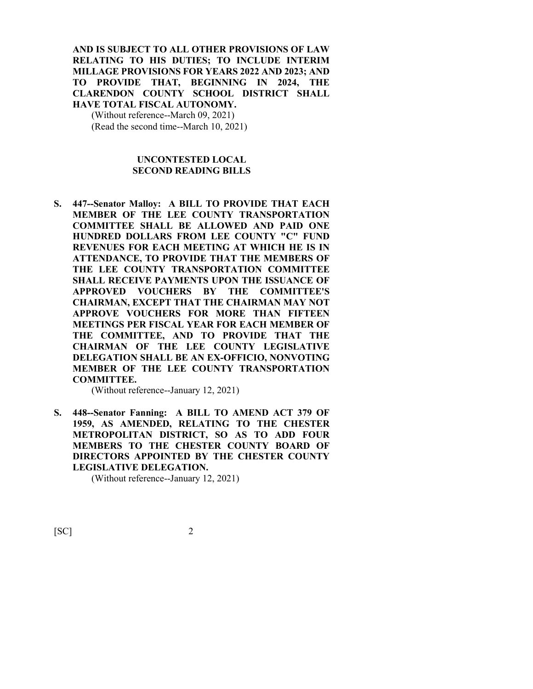#### **AND IS SUBJECT TO ALL OTHER PROVISIONS OF LAW RELATING TO HIS DUTIES; TO INCLUDE INTERIM MILLAGE PROVISIONS FOR YEARS 2022 AND 2023; AND TO PROVIDE THAT, BEGINNING IN 2024, THE CLARENDON COUNTY SCHOOL DISTRICT SHALL HAVE TOTAL FISCAL AUTONOMY.**

(Without reference--March 09, 2021) (Read the second time--March 10, 2021)

#### **UNCONTESTED LOCAL SECOND READING BILLS**

**S. 447--Senator Malloy: A BILL TO PROVIDE THAT EACH MEMBER OF THE LEE COUNTY TRANSPORTATION COMMITTEE SHALL BE ALLOWED AND PAID ONE HUNDRED DOLLARS FROM LEE COUNTY "C" FUND REVENUES FOR EACH MEETING AT WHICH HE IS IN ATTENDANCE, TO PROVIDE THAT THE MEMBERS OF THE LEE COUNTY TRANSPORTATION COMMITTEE SHALL RECEIVE PAYMENTS UPON THE ISSUANCE OF APPROVED VOUCHERS BY THE COMMITTEE'S CHAIRMAN, EXCEPT THAT THE CHAIRMAN MAY NOT APPROVE VOUCHERS FOR MORE THAN FIFTEEN MEETINGS PER FISCAL YEAR FOR EACH MEMBER OF THE COMMITTEE, AND TO PROVIDE THAT THE CHAIRMAN OF THE LEE COUNTY LEGISLATIVE DELEGATION SHALL BE AN EX-OFFICIO, NONVOTING MEMBER OF THE LEE COUNTY TRANSPORTATION COMMITTEE.**

(Without reference--January 12, 2021)

**S. 448--Senator Fanning: A BILL TO AMEND ACT 379 OF 1959, AS AMENDED, RELATING TO THE CHESTER METROPOLITAN DISTRICT, SO AS TO ADD FOUR MEMBERS TO THE CHESTER COUNTY BOARD OF DIRECTORS APPOINTED BY THE CHESTER COUNTY LEGISLATIVE DELEGATION.**

(Without reference--January 12, 2021)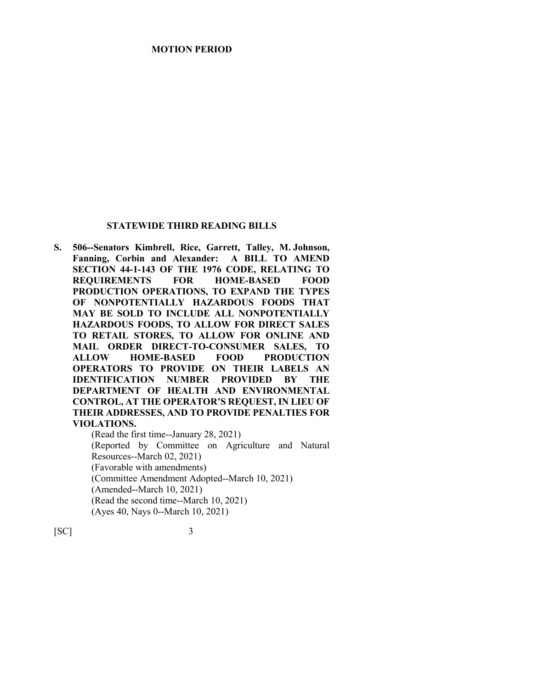#### **MOTION PERIOD**

#### **STATEWIDE THIRD READING BILLS**

**S. 506--Senators Kimbrell, Rice, Garrett, Talley, M. Johnson, Fanning, Corbin and Alexander: A BILL TO AMEND SECTION 44-1-143 OF THE 1976 CODE, RELATING TO REQUIREMENTS FOR HOME-BASED FOOD PRODUCTION OPERATIONS, TO EXPAND THE TYPES OF NONPOTENTIALLY HAZARDOUS FOODS THAT MAY BE SOLD TO INCLUDE ALL NONPOTENTIALLY HAZARDOUS FOODS, TO ALLOW FOR DIRECT SALES TO RETAIL STORES, TO ALLOW FOR ONLINE AND MAIL ORDER DIRECT-TO-CONSUMER SALES, TO ALLOW HOME-BASED FOOD PRODUCTION OPERATORS TO PROVIDE ON THEIR LABELS AN IDENTIFICATION NUMBER PROVIDED BY THE DEPARTMENT OF HEALTH AND ENVIRONMENTAL CONTROL, AT THE OPERATOR'S REQUEST, IN LIEU OF THEIR ADDRESSES, AND TO PROVIDE PENALTIES FOR VIOLATIONS.**

(Read the first time--January 28, 2021) (Reported by Committee on Agriculture and Natural Resources--March 02, 2021) (Favorable with amendments) (Committee Amendment Adopted--March 10, 2021) (Amended--March 10, 2021) (Read the second time--March 10, 2021) (Ayes 40, Nays 0--March 10, 2021)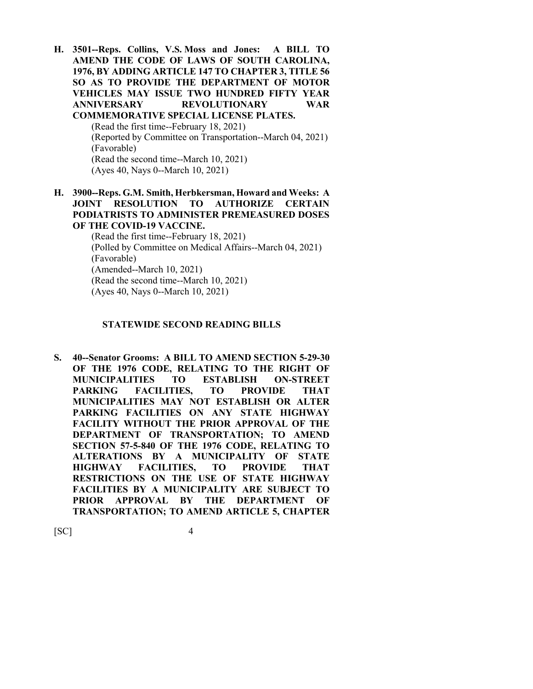**H. 3501--Reps. Collins, V.S. Moss and Jones: A BILL TO AMEND THE CODE OF LAWS OF SOUTH CAROLINA, 1976, BY ADDING ARTICLE 147 TO CHAPTER 3, TITLE 56 SO AS TO PROVIDE THE DEPARTMENT OF MOTOR VEHICLES MAY ISSUE TWO HUNDRED FIFTY YEAR ANNIVERSARY REVOLUTIONARY WAR COMMEMORATIVE SPECIAL LICENSE PLATES.** (Read the first time--February 18, 2021)

(Reported by Committee on Transportation--March 04, 2021) (Favorable) (Read the second time--March 10, 2021) (Ayes 40, Nays 0--March 10, 2021)

#### **H. 3900--Reps. G.M. Smith, Herbkersman, Howard and Weeks: A JOINT RESOLUTION TO AUTHORIZE CERTAIN PODIATRISTS TO ADMINISTER PREMEASURED DOSES OF THE COVID-19 VACCINE.**

(Read the first time--February 18, 2021) (Polled by Committee on Medical Affairs--March 04, 2021) (Favorable) (Amended--March 10, 2021) (Read the second time--March 10, 2021) (Ayes 40, Nays 0--March 10, 2021)

#### **STATEWIDE SECOND READING BILLS**

**S. 40--Senator Grooms: A BILL TO AMEND SECTION 5-29-30 OF THE 1976 CODE, RELATING TO THE RIGHT OF MUNICIPALITIES TO ESTABLISH ON-STREET PARKING FACILITIES, TO PROVIDE THAT MUNICIPALITIES MAY NOT ESTABLISH OR ALTER PARKING FACILITIES ON ANY STATE HIGHWAY FACILITY WITHOUT THE PRIOR APPROVAL OF THE DEPARTMENT OF TRANSPORTATION; TO AMEND SECTION 57-5-840 OF THE 1976 CODE, RELATING TO ALTERATIONS BY A MUNICIPALITY OF STATE HIGHWAY FACILITIES, TO PROVIDE THAT RESTRICTIONS ON THE USE OF STATE HIGHWAY FACILITIES BY A MUNICIPALITY ARE SUBJECT TO PRIOR APPROVAL BY THE DEPARTMENT OF TRANSPORTATION; TO AMEND ARTICLE 5, CHAPTER**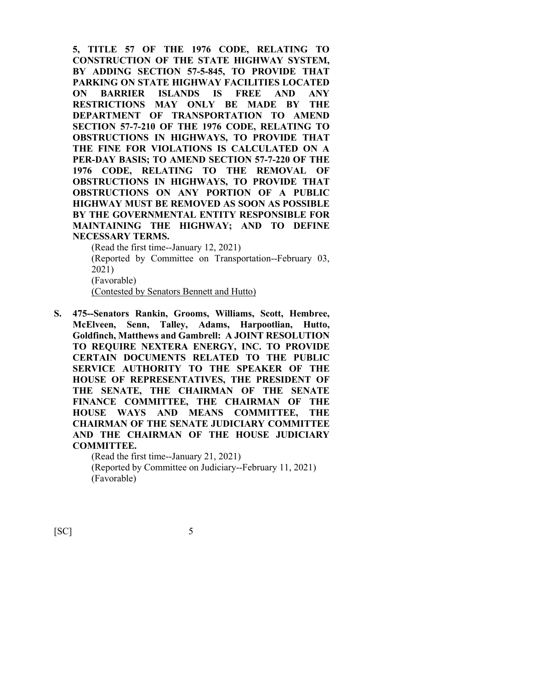**5, TITLE 57 OF THE 1976 CODE, RELATING TO CONSTRUCTION OF THE STATE HIGHWAY SYSTEM, BY ADDING SECTION 57-5-845, TO PROVIDE THAT PARKING ON STATE HIGHWAY FACILITIES LOCATED ON BARRIER ISLANDS IS FREE AND ANY RESTRICTIONS MAY ONLY BE MADE BY THE DEPARTMENT OF TRANSPORTATION TO AMEND SECTION 57-7-210 OF THE 1976 CODE, RELATING TO OBSTRUCTIONS IN HIGHWAYS, TO PROVIDE THAT THE FINE FOR VIOLATIONS IS CALCULATED ON A PER-DAY BASIS; TO AMEND SECTION 57-7-220 OF THE 1976 CODE, RELATING TO THE REMOVAL OF OBSTRUCTIONS IN HIGHWAYS, TO PROVIDE THAT OBSTRUCTIONS ON ANY PORTION OF A PUBLIC HIGHWAY MUST BE REMOVED AS SOON AS POSSIBLE BY THE GOVERNMENTAL ENTITY RESPONSIBLE FOR MAINTAINING THE HIGHWAY; AND TO DEFINE NECESSARY TERMS.**

(Read the first time--January 12, 2021) (Reported by Committee on Transportation--February 03, 2021) (Favorable) (Contested by Senators Bennett and Hutto)

**S. 475--Senators Rankin, Grooms, Williams, Scott, Hembree, McElveen, Senn, Talley, Adams, Harpootlian, Hutto, Goldfinch, Matthews and Gambrell: A JOINT RESOLUTION TO REQUIRE NEXTERA ENERGY, INC. TO PROVIDE CERTAIN DOCUMENTS RELATED TO THE PUBLIC SERVICE AUTHORITY TO THE SPEAKER OF THE HOUSE OF REPRESENTATIVES, THE PRESIDENT OF THE SENATE, THE CHAIRMAN OF THE SENATE FINANCE COMMITTEE, THE CHAIRMAN OF THE HOUSE WAYS AND MEANS COMMITTEE, THE CHAIRMAN OF THE SENATE JUDICIARY COMMITTEE AND THE CHAIRMAN OF THE HOUSE JUDICIARY COMMITTEE.**

> (Read the first time--January 21, 2021) (Reported by Committee on Judiciary--February 11, 2021) (Favorable)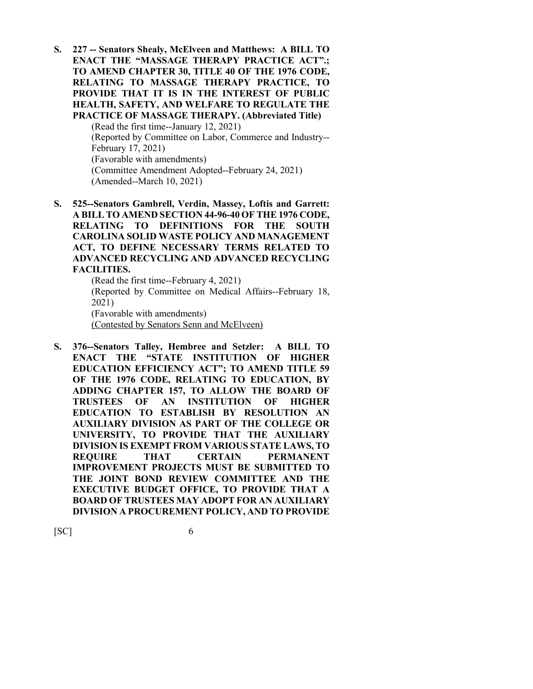**S. 227 -- Senators Shealy, McElveen and Matthews: A BILL TO ENACT THE "MASSAGE THERAPY PRACTICE ACT".; TO AMEND CHAPTER 30, TITLE 40 OF THE 1976 CODE, RELATING TO MASSAGE THERAPY PRACTICE, TO PROVIDE THAT IT IS IN THE INTEREST OF PUBLIC HEALTH, SAFETY, AND WELFARE TO REGULATE THE PRACTICE OF MASSAGE THERAPY. (Abbreviated Title)**

> (Read the first time--January 12, 2021) (Reported by Committee on Labor, Commerce and Industry-- February 17, 2021) (Favorable with amendments) (Committee Amendment Adopted--February 24, 2021) (Amended--March 10, 2021)

**S. 525--Senators Gambrell, Verdin, Massey, Loftis and Garrett: A BILL TO AMEND SECTION 44-96-40 OF THE 1976 CODE, RELATING TO DEFINITIONS FOR THE SOUTH CAROLINA SOLID WASTE POLICY AND MANAGEMENT ACT, TO DEFINE NECESSARY TERMS RELATED TO ADVANCED RECYCLING AND ADVANCED RECYCLING FACILITIES.**

(Read the first time--February 4, 2021) (Reported by Committee on Medical Affairs--February 18, 2021) (Favorable with amendments) (Contested by Senators Senn and McElveen)

**S. 376--Senators Talley, Hembree and Setzler: A BILL TO ENACT THE "STATE INSTITUTION OF HIGHER EDUCATION EFFICIENCY ACT"; TO AMEND TITLE 59 OF THE 1976 CODE, RELATING TO EDUCATION, BY ADDING CHAPTER 157, TO ALLOW THE BOARD OF TRUSTEES OF AN INSTITUTION OF HIGHER EDUCATION TO ESTABLISH BY RESOLUTION AN AUXILIARY DIVISION AS PART OF THE COLLEGE OR UNIVERSITY, TO PROVIDE THAT THE AUXILIARY DIVISION IS EXEMPT FROM VARIOUS STATE LAWS, TO REQUIRE THAT CERTAIN PERMANENT IMPROVEMENT PROJECTS MUST BE SUBMITTED TO THE JOINT BOND REVIEW COMMITTEE AND THE EXECUTIVE BUDGET OFFICE, TO PROVIDE THAT A BOARD OF TRUSTEES MAY ADOPT FOR AN AUXILIARY DIVISION A PROCUREMENT POLICY, AND TO PROVIDE**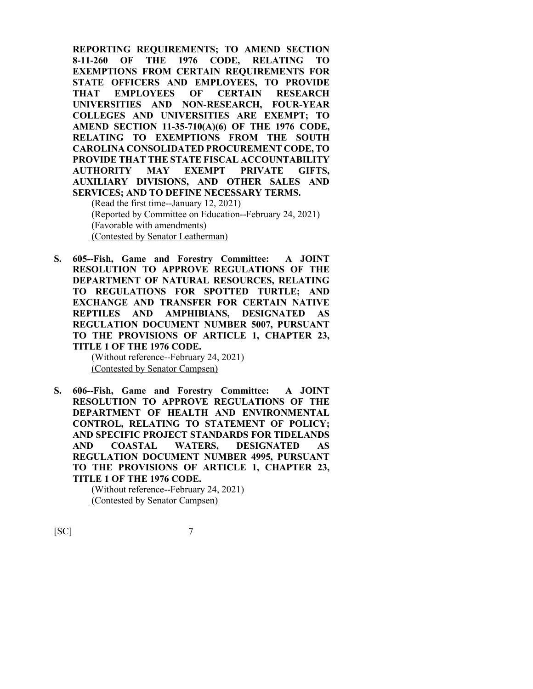**REPORTING REQUIREMENTS; TO AMEND SECTION 8-11-260 OF THE 1976 CODE, RELATING TO EXEMPTIONS FROM CERTAIN REQUIREMENTS FOR STATE OFFICERS AND EMPLOYEES, TO PROVIDE THAT EMPLOYEES OF CERTAIN RESEARCH UNIVERSITIES AND NON-RESEARCH, FOUR-YEAR COLLEGES AND UNIVERSITIES ARE EXEMPT; TO AMEND SECTION 11-35-710(A)(6) OF THE 1976 CODE, RELATING TO EXEMPTIONS FROM THE SOUTH CAROLINA CONSOLIDATED PROCUREMENT CODE, TO PROVIDE THAT THE STATE FISCAL ACCOUNTABILITY AUTHORITY MAY EXEMPT PRIVATE GIFTS, AUXILIARY DIVISIONS, AND OTHER SALES AND SERVICES; AND TO DEFINE NECESSARY TERMS.** (Read the first time--January 12, 2021)

(Reported by Committee on Education--February 24, 2021) (Favorable with amendments) (Contested by Senator Leatherman)

**S. 605--Fish, Game and Forestry Committee: A JOINT RESOLUTION TO APPROVE REGULATIONS OF THE DEPARTMENT OF NATURAL RESOURCES, RELATING TO REGULATIONS FOR SPOTTED TURTLE; AND EXCHANGE AND TRANSFER FOR CERTAIN NATIVE REPTILES AND AMPHIBIANS, DESIGNATED AS REGULATION DOCUMENT NUMBER 5007, PURSUANT TO THE PROVISIONS OF ARTICLE 1, CHAPTER 23, TITLE 1 OF THE 1976 CODE.**

> (Without reference--February 24, 2021) (Contested by Senator Campsen)

**S. 606--Fish, Game and Forestry Committee: A JOINT RESOLUTION TO APPROVE REGULATIONS OF THE DEPARTMENT OF HEALTH AND ENVIRONMENTAL CONTROL, RELATING TO STATEMENT OF POLICY; AND SPECIFIC PROJECT STANDARDS FOR TIDELANDS AND COASTAL WATERS, DESIGNATED AS REGULATION DOCUMENT NUMBER 4995, PURSUANT TO THE PROVISIONS OF ARTICLE 1, CHAPTER 23, TITLE 1 OF THE 1976 CODE.**

> (Without reference--February 24, 2021) (Contested by Senator Campsen)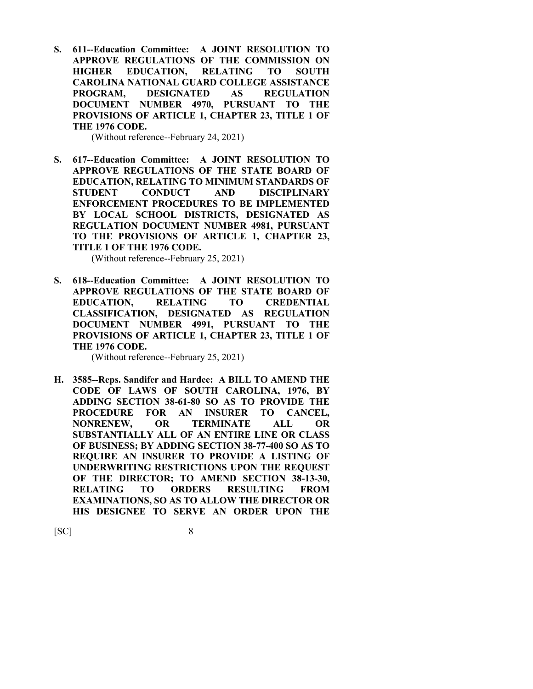**S. 611--Education Committee: A JOINT RESOLUTION TO APPROVE REGULATIONS OF THE COMMISSION ON HIGHER EDUCATION, RELATING TO SOUTH CAROLINA NATIONAL GUARD COLLEGE ASSISTANCE PROGRAM, DESIGNATED AS REGULATION DOCUMENT NUMBER 4970, PURSUANT TO THE PROVISIONS OF ARTICLE 1, CHAPTER 23, TITLE 1 OF THE 1976 CODE.**

(Without reference--February 24, 2021)

**S. 617--Education Committee: A JOINT RESOLUTION TO APPROVE REGULATIONS OF THE STATE BOARD OF EDUCATION, RELATING TO MINIMUM STANDARDS OF STUDENT CONDUCT AND DISCIPLINARY ENFORCEMENT PROCEDURES TO BE IMPLEMENTED BY LOCAL SCHOOL DISTRICTS, DESIGNATED AS REGULATION DOCUMENT NUMBER 4981, PURSUANT TO THE PROVISIONS OF ARTICLE 1, CHAPTER 23, TITLE 1 OF THE 1976 CODE.**

(Without reference--February 25, 2021)

**S. 618--Education Committee: A JOINT RESOLUTION TO APPROVE REGULATIONS OF THE STATE BOARD OF EDUCATION, RELATING TO CREDENTIAL CLASSIFICATION, DESIGNATED AS REGULATION DOCUMENT NUMBER 4991, PURSUANT TO THE PROVISIONS OF ARTICLE 1, CHAPTER 23, TITLE 1 OF THE 1976 CODE.**

(Without reference--February 25, 2021)

**H. 3585--Reps. Sandifer and Hardee: A BILL TO AMEND THE CODE OF LAWS OF SOUTH CAROLINA, 1976, BY ADDING SECTION 38-61-80 SO AS TO PROVIDE THE PROCEDURE FOR AN INSURER TO CANCEL, NONRENEW, OR TERMINATE ALL OR SUBSTANTIALLY ALL OF AN ENTIRE LINE OR CLASS OF BUSINESS; BY ADDING SECTION 38-77-400 SO AS TO REQUIRE AN INSURER TO PROVIDE A LISTING OF UNDERWRITING RESTRICTIONS UPON THE REQUEST OF THE DIRECTOR; TO AMEND SECTION 38-13-30, RELATING TO ORDERS RESULTING FROM EXAMINATIONS, SO AS TO ALLOW THE DIRECTOR OR HIS DESIGNEE TO SERVE AN ORDER UPON THE**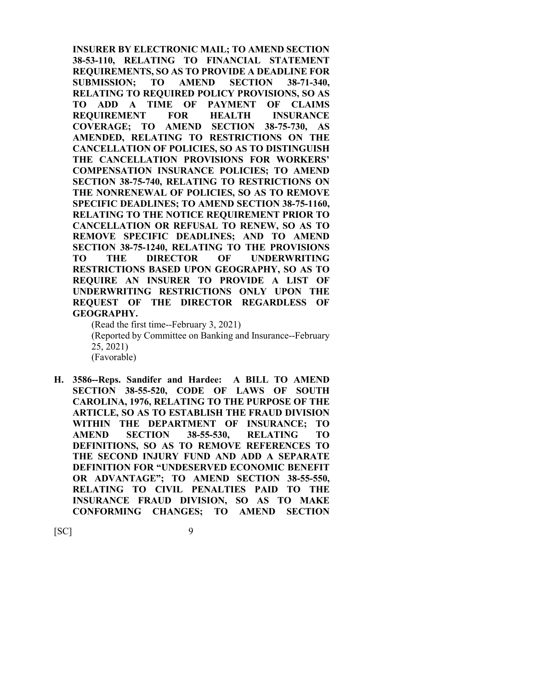**INSURER BY ELECTRONIC MAIL; TO AMEND SECTION 38-53-110, RELATING TO FINANCIAL STATEMENT REQUIREMENTS, SO AS TO PROVIDE A DEADLINE FOR SUBMISSION; TO AMEND SECTION 38-71-340, RELATING TO REQUIRED POLICY PROVISIONS, SO AS TO ADD A TIME OF PAYMENT OF CLAIMS REQUIREMENT FOR HEALTH INSURANCE COVERAGE; TO AMEND SECTION 38-75-730, AS AMENDED, RELATING TO RESTRICTIONS ON THE CANCELLATION OF POLICIES, SO AS TO DISTINGUISH THE CANCELLATION PROVISIONS FOR WORKERS' COMPENSATION INSURANCE POLICIES; TO AMEND SECTION 38-75-740, RELATING TO RESTRICTIONS ON THE NONRENEWAL OF POLICIES, SO AS TO REMOVE SPECIFIC DEADLINES; TO AMEND SECTION 38-75-1160, RELATING TO THE NOTICE REQUIREMENT PRIOR TO CANCELLATION OR REFUSAL TO RENEW, SO AS TO REMOVE SPECIFIC DEADLINES; AND TO AMEND SECTION 38-75-1240, RELATING TO THE PROVISIONS TO THE DIRECTOR OF UNDERWRITING RESTRICTIONS BASED UPON GEOGRAPHY, SO AS TO REQUIRE AN INSURER TO PROVIDE A LIST OF UNDERWRITING RESTRICTIONS ONLY UPON THE REQUEST OF THE DIRECTOR REGARDLESS OF GEOGRAPHY.**

(Read the first time--February 3, 2021)

(Reported by Committee on Banking and Insurance--February 25, 2021)

(Favorable)

**H. 3586--Reps. Sandifer and Hardee: A BILL TO AMEND SECTION 38-55-520, CODE OF LAWS OF SOUTH CAROLINA, 1976, RELATING TO THE PURPOSE OF THE ARTICLE, SO AS TO ESTABLISH THE FRAUD DIVISION WITHIN THE DEPARTMENT OF INSURANCE; TO AMEND SECTION 38-55-530, RELATING TO DEFINITIONS, SO AS TO REMOVE REFERENCES TO THE SECOND INJURY FUND AND ADD A SEPARATE DEFINITION FOR "UNDESERVED ECONOMIC BENEFIT OR ADVANTAGE"; TO AMEND SECTION 38-55-550, RELATING TO CIVIL PENALTIES PAID TO THE INSURANCE FRAUD DIVISION, SO AS TO MAKE CONFORMING CHANGES; TO AMEND SECTION**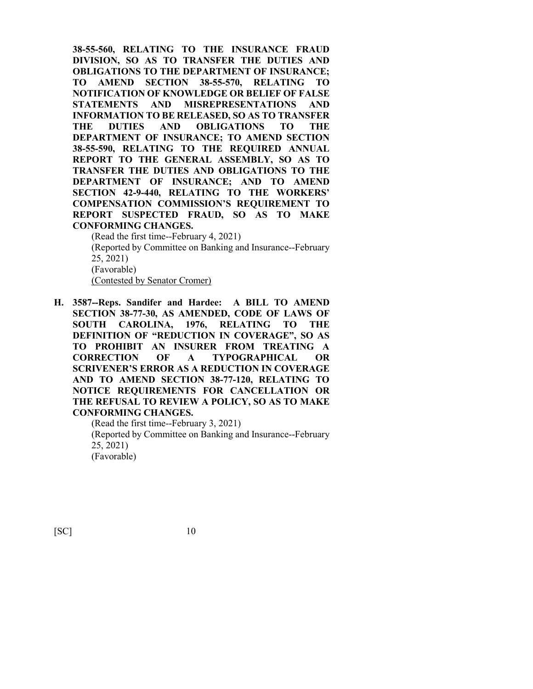**38-55-560, RELATING TO THE INSURANCE FRAUD DIVISION, SO AS TO TRANSFER THE DUTIES AND OBLIGATIONS TO THE DEPARTMENT OF INSURANCE; TO AMEND SECTION 38-55-570, RELATING TO NOTIFICATION OF KNOWLEDGE OR BELIEF OF FALSE STATEMENTS AND MISREPRESENTATIONS AND INFORMATION TO BE RELEASED, SO AS TO TRANSFER THE DUTIES AND OBLIGATIONS TO THE DEPARTMENT OF INSURANCE; TO AMEND SECTION 38-55-590, RELATING TO THE REQUIRED ANNUAL REPORT TO THE GENERAL ASSEMBLY, SO AS TO TRANSFER THE DUTIES AND OBLIGATIONS TO THE DEPARTMENT OF INSURANCE; AND TO AMEND SECTION 42-9-440, RELATING TO THE WORKERS' COMPENSATION COMMISSION'S REQUIREMENT TO REPORT SUSPECTED FRAUD, SO AS TO MAKE CONFORMING CHANGES.**

(Read the first time--February 4, 2021) (Reported by Committee on Banking and Insurance--February 25, 2021) (Favorable) (Contested by Senator Cromer)

**H. 3587--Reps. Sandifer and Hardee: A BILL TO AMEND SECTION 38-77-30, AS AMENDED, CODE OF LAWS OF SOUTH CAROLINA, 1976, RELATING TO THE DEFINITION OF "REDUCTION IN COVERAGE", SO AS TO PROHIBIT AN INSURER FROM TREATING A CORRECTION OF A TYPOGRAPHICAL OR SCRIVENER'S ERROR AS A REDUCTION IN COVERAGE AND TO AMEND SECTION 38-77-120, RELATING TO NOTICE REQUIREMENTS FOR CANCELLATION OR THE REFUSAL TO REVIEW A POLICY, SO AS TO MAKE CONFORMING CHANGES.**

> (Read the first time--February 3, 2021) (Reported by Committee on Banking and Insurance--February 25, 2021) (Favorable)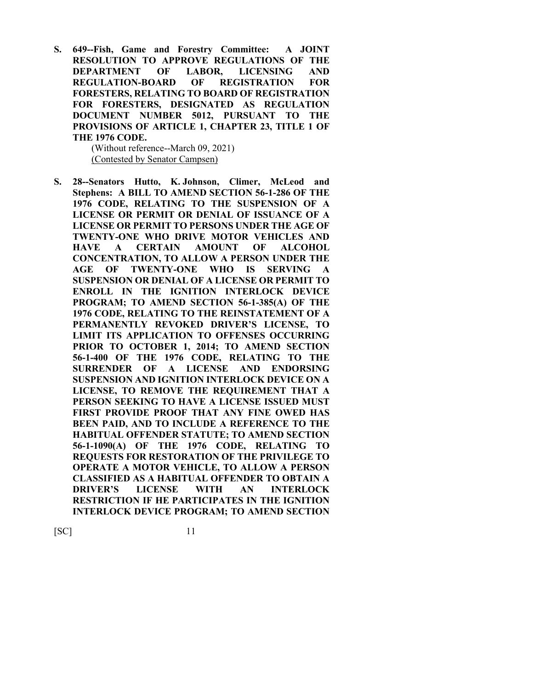**S. 649--Fish, Game and Forestry Committee: A JOINT RESOLUTION TO APPROVE REGULATIONS OF THE DEPARTMENT OF LABOR, LICENSING AND REGULATION-BOARD OF REGISTRATION FOR FORESTERS, RELATING TO BOARD OF REGISTRATION FOR FORESTERS, DESIGNATED AS REGULATION DOCUMENT NUMBER 5012, PURSUANT TO THE PROVISIONS OF ARTICLE 1, CHAPTER 23, TITLE 1 OF THE 1976 CODE.**

(Without reference--March 09, 2021) (Contested by Senator Campsen)

**S. 28--Senators Hutto, K. Johnson, Climer, McLeod and Stephens: A BILL TO AMEND SECTION 56-1-286 OF THE 1976 CODE, RELATING TO THE SUSPENSION OF A LICENSE OR PERMIT OR DENIAL OF ISSUANCE OF A LICENSE OR PERMIT TO PERSONS UNDER THE AGE OF TWENTY-ONE WHO DRIVE MOTOR VEHICLES AND HAVE A CERTAIN AMOUNT OF ALCOHOL CONCENTRATION, TO ALLOW A PERSON UNDER THE AGE OF TWENTY-ONE WHO IS SERVING A SUSPENSION OR DENIAL OF A LICENSE OR PERMIT TO ENROLL IN THE IGNITION INTERLOCK DEVICE PROGRAM; TO AMEND SECTION 56-1-385(A) OF THE 1976 CODE, RELATING TO THE REINSTATEMENT OF A PERMANENTLY REVOKED DRIVER'S LICENSE, TO LIMIT ITS APPLICATION TO OFFENSES OCCURRING PRIOR TO OCTOBER 1, 2014; TO AMEND SECTION 56-1-400 OF THE 1976 CODE, RELATING TO THE SURRENDER OF A LICENSE AND ENDORSING SUSPENSION AND IGNITION INTERLOCK DEVICE ON A LICENSE, TO REMOVE THE REQUIREMENT THAT A PERSON SEEKING TO HAVE A LICENSE ISSUED MUST FIRST PROVIDE PROOF THAT ANY FINE OWED HAS BEEN PAID, AND TO INCLUDE A REFERENCE TO THE HABITUAL OFFENDER STATUTE; TO AMEND SECTION 56-1-1090(A) OF THE 1976 CODE, RELATING TO REQUESTS FOR RESTORATION OF THE PRIVILEGE TO OPERATE A MOTOR VEHICLE, TO ALLOW A PERSON CLASSIFIED AS A HABITUAL OFFENDER TO OBTAIN A DRIVER'S LICENSE WITH AN INTERLOCK RESTRICTION IF HE PARTICIPATES IN THE IGNITION INTERLOCK DEVICE PROGRAM; TO AMEND SECTION**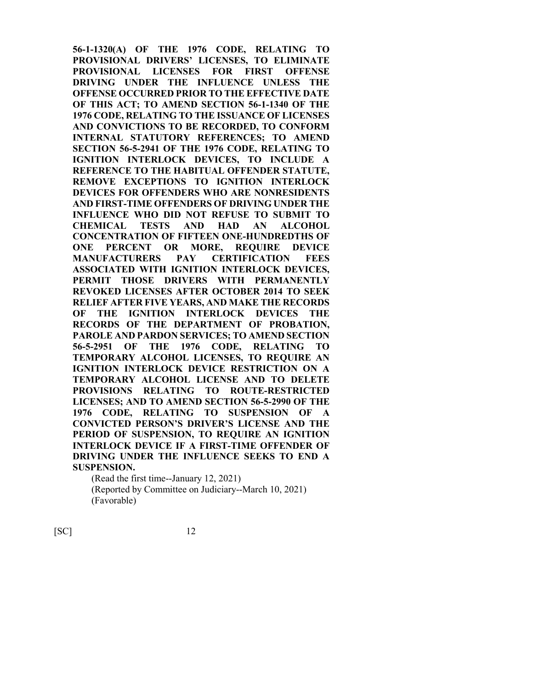**56-1-1320(A) OF THE 1976 CODE, RELATING TO PROVISIONAL DRIVERS' LICENSES, TO ELIMINATE PROVISIONAL LICENSES FOR FIRST OFFENSE DRIVING UNDER THE INFLUENCE UNLESS THE OFFENSE OCCURRED PRIOR TO THE EFFECTIVE DATE OF THIS ACT; TO AMEND SECTION 56-1-1340 OF THE 1976 CODE, RELATING TO THE ISSUANCE OF LICENSES AND CONVICTIONS TO BE RECORDED, TO CONFORM INTERNAL STATUTORY REFERENCES; TO AMEND SECTION 56-5-2941 OF THE 1976 CODE, RELATING TO IGNITION INTERLOCK DEVICES, TO INCLUDE A REFERENCE TO THE HABITUAL OFFENDER STATUTE, REMOVE EXCEPTIONS TO IGNITION INTERLOCK DEVICES FOR OFFENDERS WHO ARE NONRESIDENTS AND FIRST-TIME OFFENDERS OF DRIVING UNDER THE INFLUENCE WHO DID NOT REFUSE TO SUBMIT TO CHEMICAL TESTS AND HAD AN ALCOHOL CONCENTRATION OF FIFTEEN ONE-HUNDREDTHS OF ONE PERCENT OR MORE, REQUIRE DEVICE MANUFACTURERS PAY CERTIFICATION FEES ASSOCIATED WITH IGNITION INTERLOCK DEVICES, PERMIT THOSE DRIVERS WITH PERMANENTLY REVOKED LICENSES AFTER OCTOBER 2014 TO SEEK RELIEF AFTER FIVE YEARS, AND MAKE THE RECORDS OF THE IGNITION INTERLOCK DEVICES THE RECORDS OF THE DEPARTMENT OF PROBATION, PAROLE AND PARDON SERVICES; TO AMEND SECTION 56-5-2951 OF THE 1976 CODE, RELATING TO TEMPORARY ALCOHOL LICENSES, TO REQUIRE AN IGNITION INTERLOCK DEVICE RESTRICTION ON A TEMPORARY ALCOHOL LICENSE AND TO DELETE PROVISIONS RELATING TO ROUTE-RESTRICTED LICENSES; AND TO AMEND SECTION 56-5-2990 OF THE 1976 CODE, RELATING TO SUSPENSION OF A CONVICTED PERSON'S DRIVER'S LICENSE AND THE PERIOD OF SUSPENSION, TO REQUIRE AN IGNITION INTERLOCK DEVICE IF A FIRST-TIME OFFENDER OF DRIVING UNDER THE INFLUENCE SEEKS TO END A SUSPENSION.**

(Read the first time--January 12, 2021) (Reported by Committee on Judiciary--March 10, 2021) (Favorable)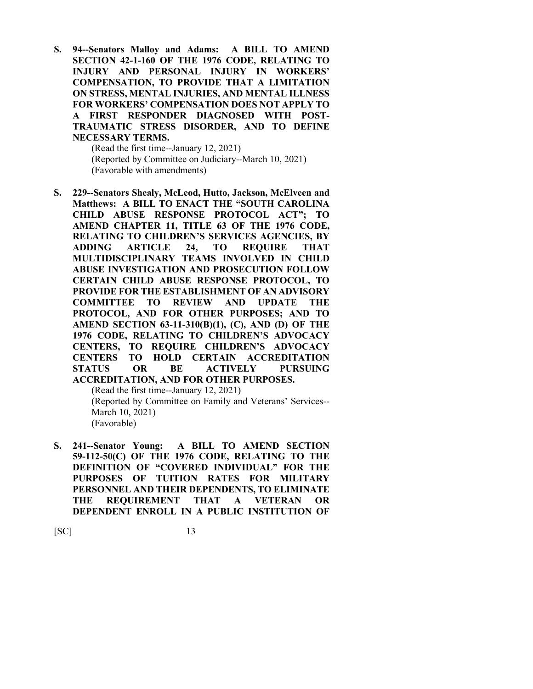**S. 94--Senators Malloy and Adams: A BILL TO AMEND SECTION 42-1-160 OF THE 1976 CODE, RELATING TO INJURY AND PERSONAL INJURY IN WORKERS' COMPENSATION, TO PROVIDE THAT A LIMITATION ON STRESS, MENTAL INJURIES, AND MENTAL ILLNESS FOR WORKERS' COMPENSATION DOES NOT APPLY TO A FIRST RESPONDER DIAGNOSED WITH POST-TRAUMATIC STRESS DISORDER, AND TO DEFINE NECESSARY TERMS.**

> (Read the first time--January 12, 2021) (Reported by Committee on Judiciary--March 10, 2021) (Favorable with amendments)

**S. 229--Senators Shealy, McLeod, Hutto, Jackson, McElveen and Matthews: A BILL TO ENACT THE "SOUTH CAROLINA CHILD ABUSE RESPONSE PROTOCOL ACT"; TO AMEND CHAPTER 11, TITLE 63 OF THE 1976 CODE, RELATING TO CHILDREN'S SERVICES AGENCIES, BY ADDING ARTICLE 24, TO REQUIRE THAT MULTIDISCIPLINARY TEAMS INVOLVED IN CHILD ABUSE INVESTIGATION AND PROSECUTION FOLLOW CERTAIN CHILD ABUSE RESPONSE PROTOCOL, TO PROVIDE FOR THE ESTABLISHMENT OF AN ADVISORY COMMITTEE TO REVIEW AND UPDATE THE PROTOCOL, AND FOR OTHER PURPOSES; AND TO AMEND SECTION 63-11-310(B)(1), (C), AND (D) OF THE 1976 CODE, RELATING TO CHILDREN'S ADVOCACY CENTERS, TO REQUIRE CHILDREN'S ADVOCACY CENTERS TO HOLD CERTAIN ACCREDITATION STATUS OR BE ACTIVELY PURSUING ACCREDITATION, AND FOR OTHER PURPOSES.**

(Read the first time--January 12, 2021) (Reported by Committee on Family and Veterans' Services-- March 10, 2021) (Favorable)

**S. 241--Senator Young: A BILL TO AMEND SECTION 59-112-50(C) OF THE 1976 CODE, RELATING TO THE DEFINITION OF "COVERED INDIVIDUAL" FOR THE PURPOSES OF TUITION RATES FOR MILITARY PERSONNEL AND THEIR DEPENDENTS, TO ELIMINATE THE REQUIREMENT THAT A VETERAN OR DEPENDENT ENROLL IN A PUBLIC INSTITUTION OF**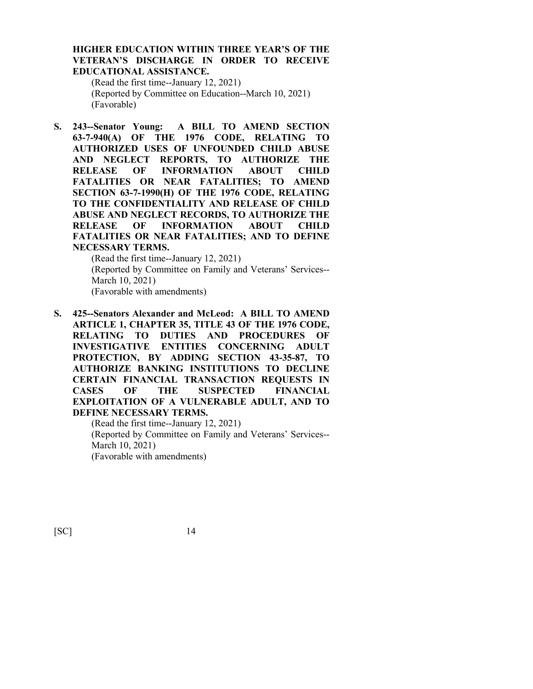#### **HIGHER EDUCATION WITHIN THREE YEAR'S OF THE VETERAN'S DISCHARGE IN ORDER TO RECEIVE EDUCATIONAL ASSISTANCE.**

(Read the first time--January 12, 2021) (Reported by Committee on Education--March 10, 2021) (Favorable)

**S. 243--Senator Young: A BILL TO AMEND SECTION 63-7-940(A) OF THE 1976 CODE, RELATING TO AUTHORIZED USES OF UNFOUNDED CHILD ABUSE AND NEGLECT REPORTS, TO AUTHORIZE THE RELEASE OF INFORMATION ABOUT CHILD FATALITIES OR NEAR FATALITIES; TO AMEND SECTION 63-7-1990(H) OF THE 1976 CODE, RELATING TO THE CONFIDENTIALITY AND RELEASE OF CHILD ABUSE AND NEGLECT RECORDS, TO AUTHORIZE THE RELEASE OF INFORMATION ABOUT CHILD FATALITIES OR NEAR FATALITIES; AND TO DEFINE NECESSARY TERMS.**

> (Read the first time--January 12, 2021) (Reported by Committee on Family and Veterans' Services-- March 10, 2021) (Favorable with amendments)

**S. 425--Senators Alexander and McLeod: A BILL TO AMEND ARTICLE 1, CHAPTER 35, TITLE 43 OF THE 1976 CODE, RELATING TO DUTIES AND PROCEDURES OF INVESTIGATIVE ENTITIES CONCERNING ADULT PROTECTION, BY ADDING SECTION 43-35-87, TO AUTHORIZE BANKING INSTITUTIONS TO DECLINE CERTAIN FINANCIAL TRANSACTION REQUESTS IN CASES OF THE SUSPECTED FINANCIAL EXPLOITATION OF A VULNERABLE ADULT, AND TO DEFINE NECESSARY TERMS.**

> (Read the first time--January 12, 2021) (Reported by Committee on Family and Veterans' Services-- March 10, 2021) (Favorable with amendments)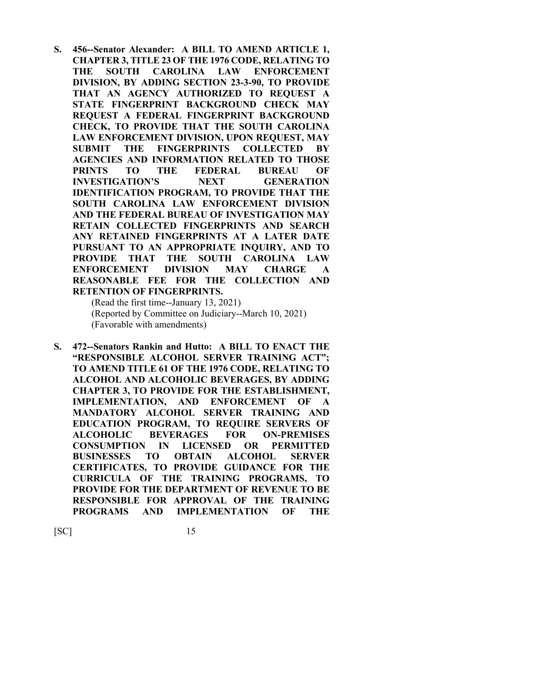**S. 456--Senator Alexander: A BILL TO AMEND ARTICLE 1, CHAPTER 3, TITLE 23 OF THE 1976 CODE, RELATING TO THE SOUTH CAROLINA LAW ENFORCEMENT DIVISION, BY ADDING SECTION 23-3-90, TO PROVIDE THAT AN AGENCY AUTHORIZED TO REQUEST A STATE FINGERPRINT BACKGROUND CHECK MAY REQUEST A FEDERAL FINGERPRINT BACKGROUND CHECK, TO PROVIDE THAT THE SOUTH CAROLINA LAW ENFORCEMENT DIVISION, UPON REQUEST, MAY SUBMIT THE FINGERPRINTS COLLECTED BY AGENCIES AND INFORMATION RELATED TO THOSE PRINTS TO THE FEDERAL BUREAU OF INVESTIGATION'S NEXT GENERATION IDENTIFICATION PROGRAM, TO PROVIDE THAT THE SOUTH CAROLINA LAW ENFORCEMENT DIVISION AND THE FEDERAL BUREAU OF INVESTIGATION MAY RETAIN COLLECTED FINGERPRINTS AND SEARCH ANY RETAINED FINGERPRINTS AT A LATER DATE PURSUANT TO AN APPROPRIATE INQUIRY, AND TO PROVIDE THAT THE SOUTH CAROLINA LAW ENFORCEMENT DIVISION MAY CHARGE A REASONABLE FEE FOR THE COLLECTION AND RETENTION OF FINGERPRINTS.**

(Read the first time--January 13, 2021) (Reported by Committee on Judiciary--March 10, 2021) (Favorable with amendments)

**S. 472--Senators Rankin and Hutto: A BILL TO ENACT THE "RESPONSIBLE ALCOHOL SERVER TRAINING ACT"; TO AMEND TITLE 61 OF THE 1976 CODE, RELATING TO ALCOHOL AND ALCOHOLIC BEVERAGES, BY ADDING CHAPTER 3, TO PROVIDE FOR THE ESTABLISHMENT, IMPLEMENTATION, AND ENFORCEMENT OF A MANDATORY ALCOHOL SERVER TRAINING AND EDUCATION PROGRAM, TO REQUIRE SERVERS OF ALCOHOLIC BEVERAGES FOR ON-PREMISES CONSUMPTION IN LICENSED OR PERMITTED BUSINESSES TO OBTAIN ALCOHOL SERVER CERTIFICATES, TO PROVIDE GUIDANCE FOR THE CURRICULA OF THE TRAINING PROGRAMS, TO PROVIDE FOR THE DEPARTMENT OF REVENUE TO BE RESPONSIBLE FOR APPROVAL OF THE TRAINING PROGRAMS AND IMPLEMENTATION OF THE**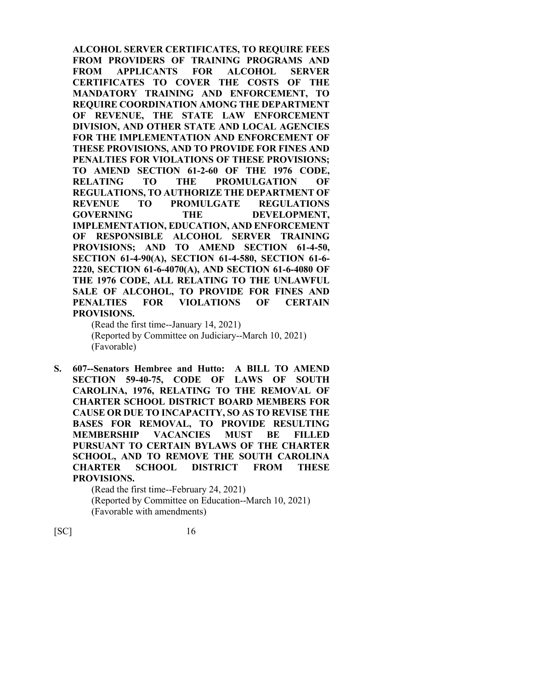**ALCOHOL SERVER CERTIFICATES, TO REQUIRE FEES FROM PROVIDERS OF TRAINING PROGRAMS AND FROM APPLICANTS FOR ALCOHOL SERVER CERTIFICATES TO COVER THE COSTS OF THE MANDATORY TRAINING AND ENFORCEMENT, TO REQUIRE COORDINATION AMONG THE DEPARTMENT OF REVENUE, THE STATE LAW ENFORCEMENT DIVISION, AND OTHER STATE AND LOCAL AGENCIES FOR THE IMPLEMENTATION AND ENFORCEMENT OF THESE PROVISIONS, AND TO PROVIDE FOR FINES AND PENALTIES FOR VIOLATIONS OF THESE PROVISIONS; TO AMEND SECTION 61-2-60 OF THE 1976 CODE, RELATING TO THE PROMULGATION OF REGULATIONS, TO AUTHORIZE THE DEPARTMENT OF REVENUE TO PROMULGATE REGULATIONS GOVERNING THE DEVELOPMENT, IMPLEMENTATION, EDUCATION, AND ENFORCEMENT OF RESPONSIBLE ALCOHOL SERVER TRAINING PROVISIONS; AND TO AMEND SECTION 61-4-50, SECTION 61-4-90(A), SECTION 61-4-580, SECTION 61-6- 2220, SECTION 61-6-4070(A), AND SECTION 61-6-4080 OF THE 1976 CODE, ALL RELATING TO THE UNLAWFUL SALE OF ALCOHOL, TO PROVIDE FOR FINES AND PENALTIES FOR VIOLATIONS OF CERTAIN PROVISIONS.**

(Read the first time--January 14, 2021) (Reported by Committee on Judiciary--March 10, 2021) (Favorable)

**S. 607--Senators Hembree and Hutto: A BILL TO AMEND SECTION 59-40-75, CODE OF LAWS OF SOUTH CAROLINA, 1976, RELATING TO THE REMOVAL OF CHARTER SCHOOL DISTRICT BOARD MEMBERS FOR CAUSE OR DUE TO INCAPACITY, SO AS TO REVISE THE BASES FOR REMOVAL, TO PROVIDE RESULTING MEMBERSHIP VACANCIES MUST BE FILLED PURSUANT TO CERTAIN BYLAWS OF THE CHARTER SCHOOL, AND TO REMOVE THE SOUTH CAROLINA CHARTER SCHOOL DISTRICT FROM THESE PROVISIONS.**

> (Read the first time--February 24, 2021) (Reported by Committee on Education--March 10, 2021) (Favorable with amendments)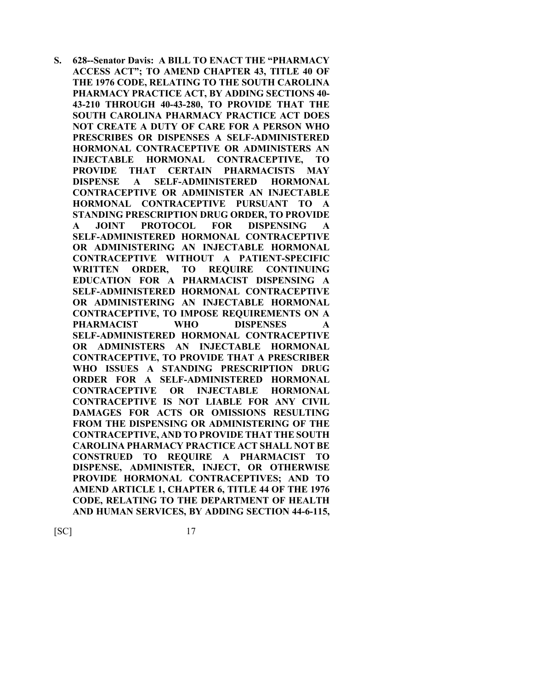**S. 628--Senator Davis: A BILL TO ENACT THE "PHARMACY ACCESS ACT"; TO AMEND CHAPTER 43, TITLE 40 OF THE 1976 CODE, RELATING TO THE SOUTH CAROLINA PHARMACY PRACTICE ACT, BY ADDING SECTIONS 40- 43-210 THROUGH 40-43-280, TO PROVIDE THAT THE SOUTH CAROLINA PHARMACY PRACTICE ACT DOES NOT CREATE A DUTY OF CARE FOR A PERSON WHO PRESCRIBES OR DISPENSES A SELF-ADMINISTERED HORMONAL CONTRACEPTIVE OR ADMINISTERS AN INJECTABLE HORMONAL CONTRACEPTIVE, TO PROVIDE THAT CERTAIN PHARMACISTS MAY DISPENSE A SELF-ADMINISTERED HORMONAL CONTRACEPTIVE OR ADMINISTER AN INJECTABLE HORMONAL CONTRACEPTIVE PURSUANT TO A STANDING PRESCRIPTION DRUG ORDER, TO PROVIDE A JOINT PROTOCOL FOR DISPENSING A SELF-ADMINISTERED HORMONAL CONTRACEPTIVE OR ADMINISTERING AN INJECTABLE HORMONAL CONTRACEPTIVE WITHOUT A PATIENT-SPECIFIC WRITTEN ORDER, TO REQUIRE CONTINUING EDUCATION FOR A PHARMACIST DISPENSING A SELF-ADMINISTERED HORMONAL CONTRACEPTIVE OR ADMINISTERING AN INJECTABLE HORMONAL CONTRACEPTIVE, TO IMPOSE REQUIREMENTS ON A PHARMACIST WHO DISPENSES A SELF-ADMINISTERED HORMONAL CONTRACEPTIVE OR ADMINISTERS AN INJECTABLE HORMONAL CONTRACEPTIVE, TO PROVIDE THAT A PRESCRIBER WHO ISSUES A STANDING PRESCRIPTION DRUG ORDER FOR A SELF-ADMINISTERED HORMONAL CONTRACEPTIVE OR INJECTABLE HORMONAL CONTRACEPTIVE IS NOT LIABLE FOR ANY CIVIL DAMAGES FOR ACTS OR OMISSIONS RESULTING FROM THE DISPENSING OR ADMINISTERING OF THE CONTRACEPTIVE, AND TO PROVIDE THAT THE SOUTH CAROLINA PHARMACY PRACTICE ACT SHALL NOT BE CONSTRUED TO REQUIRE A PHARMACIST TO DISPENSE, ADMINISTER, INJECT, OR OTHERWISE PROVIDE HORMONAL CONTRACEPTIVES; AND TO AMEND ARTICLE 1, CHAPTER 6, TITLE 44 OF THE 1976 CODE, RELATING TO THE DEPARTMENT OF HEALTH AND HUMAN SERVICES, BY ADDING SECTION 44-6-115,**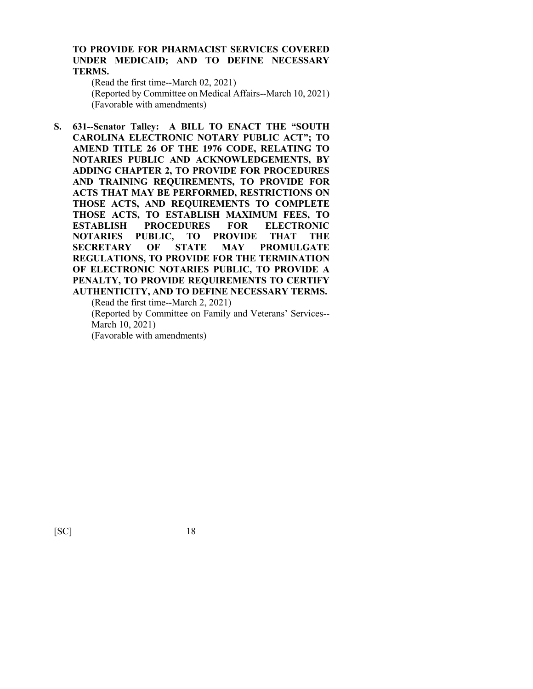#### **TO PROVIDE FOR PHARMACIST SERVICES COVERED UNDER MEDICAID; AND TO DEFINE NECESSARY TERMS.**

(Read the first time--March 02, 2021) (Reported by Committee on Medical Affairs--March 10, 2021) (Favorable with amendments)

**S. 631--Senator Talley: A BILL TO ENACT THE "SOUTH CAROLINA ELECTRONIC NOTARY PUBLIC ACT"; TO AMEND TITLE 26 OF THE 1976 CODE, RELATING TO NOTARIES PUBLIC AND ACKNOWLEDGEMENTS, BY ADDING CHAPTER 2, TO PROVIDE FOR PROCEDURES AND TRAINING REQUIREMENTS, TO PROVIDE FOR ACTS THAT MAY BE PERFORMED, RESTRICTIONS ON THOSE ACTS, AND REQUIREMENTS TO COMPLETE THOSE ACTS, TO ESTABLISH MAXIMUM FEES, TO ESTABLISH PROCEDURES FOR ELECTRONIC NOTARIES PUBLIC, TO PROVIDE THAT THE SECRETARY OF STATE MAY PROMULGATE REGULATIONS, TO PROVIDE FOR THE TERMINATION OF ELECTRONIC NOTARIES PUBLIC, TO PROVIDE A PENALTY, TO PROVIDE REQUIREMENTS TO CERTIFY AUTHENTICITY, AND TO DEFINE NECESSARY TERMS.**

(Read the first time--March 2, 2021)

(Reported by Committee on Family and Veterans' Services-- March 10, 2021)

(Favorable with amendments)